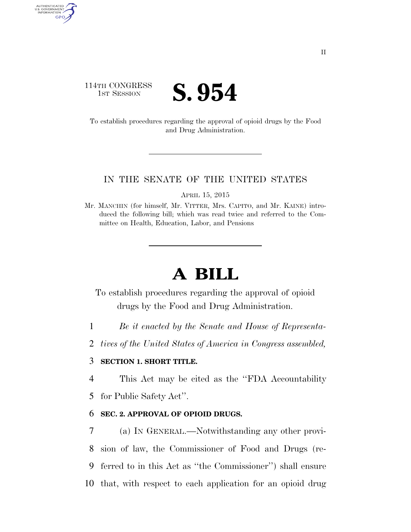## 114TH CONGRESS **IST SESSION S. 954**

AUTHENTICATED<br>U.S. GOVERNMENT<br>INFORMATION GPO

> To establish procedures regarding the approval of opioid drugs by the Food and Drug Administration.

#### IN THE SENATE OF THE UNITED STATES

APRIL 15, 2015

Mr. MANCHIN (for himself, Mr. VITTER, Mrs. CAPITO, and Mr. KAINE) introduced the following bill; which was read twice and referred to the Committee on Health, Education, Labor, and Pensions

# **A BILL**

To establish procedures regarding the approval of opioid drugs by the Food and Drug Administration.

1 *Be it enacted by the Senate and House of Representa-*

2 *tives of the United States of America in Congress assembled,* 

### 3 **SECTION 1. SHORT TITLE.**

4 This Act may be cited as the ''FDA Accountability

5 for Public Safety Act''.

### 6 **SEC. 2. APPROVAL OF OPIOID DRUGS.**

 (a) IN GENERAL.—Notwithstanding any other provi- sion of law, the Commissioner of Food and Drugs (re- ferred to in this Act as ''the Commissioner'') shall ensure that, with respect to each application for an opioid drug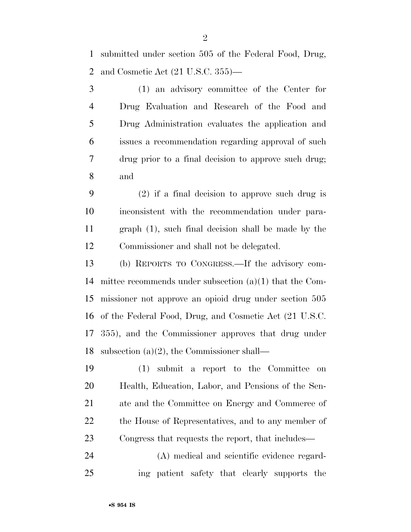submitted under section 505 of the Federal Food, Drug, and Cosmetic Act (21 U.S.C. 355)—

 (1) an advisory committee of the Center for Drug Evaluation and Research of the Food and Drug Administration evaluates the application and issues a recommendation regarding approval of such drug prior to a final decision to approve such drug; and

 (2) if a final decision to approve such drug is inconsistent with the recommendation under para- graph (1), such final decision shall be made by the Commissioner and shall not be delegated.

 (b) REPORTS TO CONGRESS.—If the advisory com- mittee recommends under subsection (a)(1) that the Com- missioner not approve an opioid drug under section 505 of the Federal Food, Drug, and Cosmetic Act (21 U.S.C. 355), and the Commissioner approves that drug under subsection (a)(2), the Commissioner shall—

 (1) submit a report to the Committee on Health, Education, Labor, and Pensions of the Sen- ate and the Committee on Energy and Commerce of the House of Representatives, and to any member of Congress that requests the report, that includes—

 (A) medical and scientific evidence regard-ing patient safety that clearly supports the